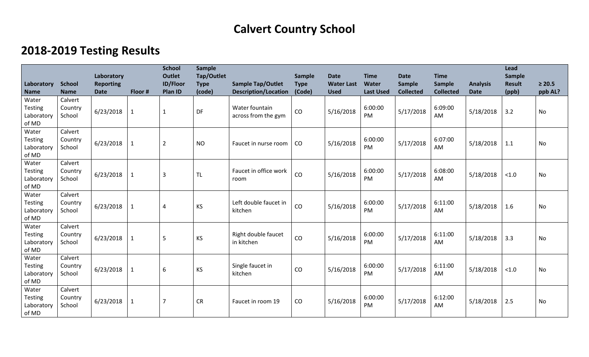## **Calvert Country School**

## **2018-2019 Testing Results**

|                                                |                              | Laboratory                      |              | <b>School</b><br><b>Outlet</b> | <b>Sample</b><br>Tap/Outlet |                                                         | Sample                | <b>Date</b>                      | <b>Time</b>               | <b>Date</b>                       | <b>Time</b>                |                                | Lead<br><b>Sample</b>  |                        |
|------------------------------------------------|------------------------------|---------------------------------|--------------|--------------------------------|-----------------------------|---------------------------------------------------------|-----------------------|----------------------------------|---------------------------|-----------------------------------|----------------------------|--------------------------------|------------------------|------------------------|
| Laboratory<br><b>Name</b>                      | <b>School</b><br><b>Name</b> | <b>Reporting</b><br><b>Date</b> | Floor #      | <b>ID/Floor</b><br>Plan ID     | <b>Type</b><br>(code)       | <b>Sample Tap/Outlet</b><br><b>Description/Location</b> | <b>Type</b><br>(Code) | <b>Water Last</b><br><b>Used</b> | Water<br><b>Last Used</b> | <b>Sample</b><br><b>Collected</b> | Sample<br><b>Collected</b> | <b>Analysis</b><br><b>Date</b> | <b>Result</b><br>(ppb) | $\geq 20.5$<br>ppb AL? |
| Water<br><b>Testing</b><br>Laboratory<br>of MD | Calvert<br>Country<br>School | 6/23/2018                       | $\mathbf{1}$ | $\mathbf{1}$                   | DF                          | Water fountain<br>across from the gym                   | CO                    | 5/16/2018                        | 6:00:00<br><b>PM</b>      | 5/17/2018                         | 6:09:00<br>AM              | 5/18/2018                      | 3.2                    | No                     |
| Water<br><b>Testing</b><br>Laboratory<br>of MD | Calvert<br>Country<br>School | 6/23/2018                       | $\mathbf{1}$ | $\overline{2}$                 | <b>NO</b>                   | Faucet in nurse room                                    | CO                    | 5/16/2018                        | 6:00:00<br><b>PM</b>      | 5/17/2018                         | 6:07:00<br>AM              | 5/18/2018                      | 1.1                    | <b>No</b>              |
| Water<br><b>Testing</b><br>Laboratory<br>of MD | Calvert<br>Country<br>School | 6/23/2018                       | $\mathbf{1}$ | $\overline{3}$                 | <b>TL</b>                   | Faucet in office work<br>room                           | CO                    | 5/16/2018                        | 6:00:00<br>PM             | 5/17/2018                         | 6:08:00<br>AM              | 5/18/2018                      | $<1.0$                 | No                     |
| Water<br><b>Testing</b><br>Laboratory<br>of MD | Calvert<br>Country<br>School | 6/23/2018                       | $\mathbf 1$  | $\overline{4}$                 | KS                          | Left double faucet in<br>kitchen                        | CO                    | 5/16/2018                        | 6:00:00<br>PM             | 5/17/2018                         | 6:11:00<br>AM              | 5/18/2018                      | 1.6                    | No                     |
| Water<br><b>Testing</b><br>Laboratory<br>of MD | Calvert<br>Country<br>School | 6/23/2018                       | $\mathbf{1}$ | 5                              | <b>KS</b>                   | Right double faucet<br>in kitchen                       | CO                    | 5/16/2018                        | 6:00:00<br><b>PM</b>      | 5/17/2018                         | 6:11:00<br>AM              | 5/18/2018                      | 3.3                    | No                     |
| Water<br><b>Testing</b><br>Laboratory<br>of MD | Calvert<br>Country<br>School | 6/23/2018                       | $\mathbf{1}$ | 6                              | KS                          | Single faucet in<br>kitchen                             | CO                    | 5/16/2018                        | 6:00:00<br>PM             | 5/17/2018                         | 6:11:00<br>AM              | 5/18/2018                      | < 1.0                  | No                     |
| Water<br><b>Testing</b><br>Laboratory<br>of MD | Calvert<br>Country<br>School | 6/23/2018                       | $\mathbf 1$  | $\overline{7}$                 | <b>CR</b>                   | Faucet in room 19                                       | CO                    | 5/16/2018                        | 6:00:00<br>PM             | 5/17/2018                         | 6:12:00<br>AM              | 5/18/2018                      | 2.5                    | No                     |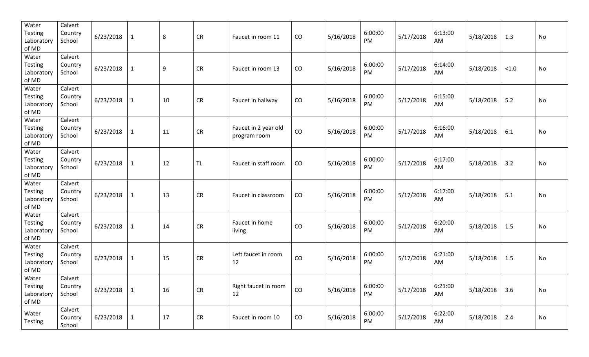| Water<br><b>Testing</b><br>Laboratory<br>of MD | Calvert<br>Country<br>School | 6/23/2018 | $\mathbf{1}$ | 8  | <b>CR</b>  | Faucet in room 11                    | CO | 5/16/2018 | 6:00:00<br>PM | 5/17/2018 | 6:13:00<br>AM | 5/18/2018 | 1.3               | No        |
|------------------------------------------------|------------------------------|-----------|--------------|----|------------|--------------------------------------|----|-----------|---------------|-----------|---------------|-----------|-------------------|-----------|
| Water<br>Testing<br>Laboratory<br>of MD        | Calvert<br>Country<br>School | 6/23/2018 | $\mathbf{1}$ | 9  | <b>CR</b>  | Faucet in room 13                    | CO | 5/16/2018 | 6:00:00<br>PM | 5/17/2018 | 6:14:00<br>AM | 5/18/2018 | $<1.0$            | No        |
| Water<br>Testing<br>Laboratory<br>of MD        | Calvert<br>Country<br>School | 6/23/2018 | $\mathbf{1}$ | 10 | ${\sf CR}$ | Faucet in hallway                    | CO | 5/16/2018 | 6:00:00<br>PM | 5/17/2018 | 6:15:00<br>AM | 5/18/2018 | 5.2               | No        |
| Water<br><b>Testing</b><br>Laboratory<br>of MD | Calvert<br>Country<br>School | 6/23/2018 | $\mathbf{1}$ | 11 | ${\sf CR}$ | Faucet in 2 year old<br>program room | CO | 5/16/2018 | 6:00:00<br>PM | 5/17/2018 | 6:16:00<br>AM | 5/18/2018 | 6.1               | No        |
| Water<br>Testing<br>Laboratory<br>of MD        | Calvert<br>Country<br>School | 6/23/2018 | $\mathbf{1}$ | 12 | <b>TL</b>  | Faucet in staff room                 | CO | 5/16/2018 | 6:00:00<br>PM | 5/17/2018 | 6:17:00<br>AM | 5/18/2018 | 3.2               | No        |
| Water<br><b>Testing</b><br>Laboratory<br>of MD | Calvert<br>Country<br>School | 6/23/2018 | $\mathbf{1}$ | 13 | <b>CR</b>  | Faucet in classroom                  | CO | 5/16/2018 | 6:00:00<br>PM | 5/17/2018 | 6:17:00<br>AM | 5/18/2018 | 5.1               | No        |
| Water<br><b>Testing</b><br>Laboratory<br>of MD | Calvert<br>Country<br>School | 6/23/2018 | $\mathbf{1}$ | 14 | ${\sf CR}$ | Faucet in home<br>living             | CO | 5/16/2018 | 6:00:00<br>PM | 5/17/2018 | 6:20:00<br>AM | 5/18/2018 | 1.5               | <b>No</b> |
| Water<br><b>Testing</b><br>Laboratory<br>of MD | Calvert<br>Country<br>School | 6/23/2018 | $\mathbf 1$  | 15 | CR         | Left faucet in room<br>12            | CO | 5/16/2018 | 6:00:00<br>PM | 5/17/2018 | 6:21:00<br>AM | 5/18/2018 | 1.5               | No        |
| Water<br>Testing<br>Laboratory<br>of MD        | Calvert<br>Country<br>School | 6/23/2018 | $\mathbf{1}$ | 16 | CR         | Right faucet in room<br>12           | CO | 5/16/2018 | 6:00:00<br>PM | 5/17/2018 | 6:21:00<br>AM | 5/18/2018 | $3.6$             | No        |
| Water<br>Testing                               | Calvert<br>Country<br>School | 6/23/2018 | $\mathbf{1}$ | 17 | ${\sf CR}$ | Faucet in room 10                    | CO | 5/16/2018 | 6:00:00<br>PM | 5/17/2018 | 6:22:00<br>AM | 5/18/2018 | $\vert 2.4 \vert$ | No        |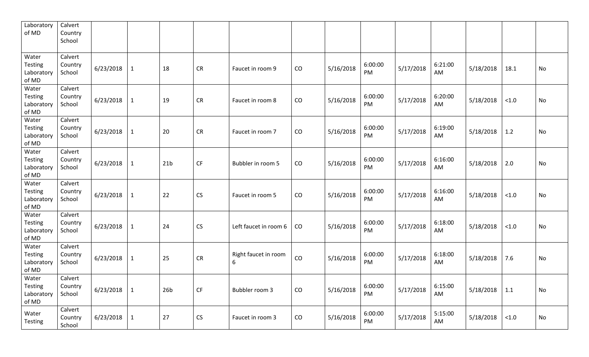| Laboratory<br>of MD                            | Calvert<br>Country<br>School |           |              |                 |                        |                           |    |           |               |           |               |           |        |    |
|------------------------------------------------|------------------------------|-----------|--------------|-----------------|------------------------|---------------------------|----|-----------|---------------|-----------|---------------|-----------|--------|----|
| Water<br><b>Testing</b><br>Laboratory<br>of MD | Calvert<br>Country<br>School | 6/23/2018 | $\mathbf 1$  | 18              | <b>CR</b>              | Faucet in room 9          | CO | 5/16/2018 | 6:00:00<br>PM | 5/17/2018 | 6:21:00<br>AM | 5/18/2018 | 18.1   | No |
| Water<br><b>Testing</b><br>Laboratory<br>of MD | Calvert<br>Country<br>School | 6/23/2018 | $\mathbf{1}$ | 19              | <b>CR</b>              | Faucet in room 8          | CO | 5/16/2018 | 6:00:00<br>PM | 5/17/2018 | 6:20:00<br>AM | 5/18/2018 | $<1.0$ | No |
| Water<br><b>Testing</b><br>Laboratory<br>of MD | Calvert<br>Country<br>School | 6/23/2018 | $\mathbf 1$  | 20              | <b>CR</b>              | Faucet in room 7          | CO | 5/16/2018 | 6:00:00<br>PM | 5/17/2018 | 6:19:00<br>AM | 5/18/2018 | 1.2    | No |
| Water<br><b>Testing</b><br>Laboratory<br>of MD | Calvert<br>Country<br>School | 6/23/2018 | $\mathbf{1}$ | 21 <sub>b</sub> | <b>CF</b>              | Bubbler in room 5         | CO | 5/16/2018 | 6:00:00<br>PM | 5/17/2018 | 6:16:00<br>AM | 5/18/2018 | 2.0    | No |
| Water<br><b>Testing</b><br>Laboratory<br>of MD | Calvert<br>Country<br>School | 6/23/2018 | $\mathbf{1}$ | 22              | <b>CS</b>              | Faucet in room 5          | CO | 5/16/2018 | 6:00:00<br>PM | 5/17/2018 | 6:16:00<br>AM | 5/18/2018 | $<1.0$ | No |
| Water<br><b>Testing</b><br>Laboratory<br>of MD | Calvert<br>Country<br>School | 6/23/2018 | $\mathbf{1}$ | 24              | CS                     | Left faucet in room 6     | CO | 5/16/2018 | 6:00:00<br>PM | 5/17/2018 | 6:18:00<br>AM | 5/18/2018 | $<1.0$ | No |
| Water<br>Testing<br>Laboratory<br>of MD        | Calvert<br>Country<br>School | 6/23/2018 | $\mathbf{1}$ | 25              | <b>CR</b>              | Right faucet in room<br>6 | CO | 5/16/2018 | 6:00:00<br>PM | 5/17/2018 | 6:18:00<br>AM | 5/18/2018 | 7.6    | No |
| Water<br><b>Testing</b><br>Laboratory<br>of MD | Calvert<br>Country<br>School | 6/23/2018 | $\mathbf{1}$ | 26 <sub>b</sub> | $\mathsf{C}\mathsf{F}$ | Bubbler room 3            | CO | 5/16/2018 | 6:00:00<br>PM | 5/17/2018 | 6:15:00<br>AM | 5/18/2018 | 1.1    | No |
| Water<br><b>Testing</b>                        | Calvert<br>Country<br>School | 6/23/2018 | $\mathbf{1}$ | 27              | CS                     | Faucet in room 3          | CO | 5/16/2018 | 6:00:00<br>PM | 5/17/2018 | 5:15:00<br>AM | 5/18/2018 | $<1.0$ | No |